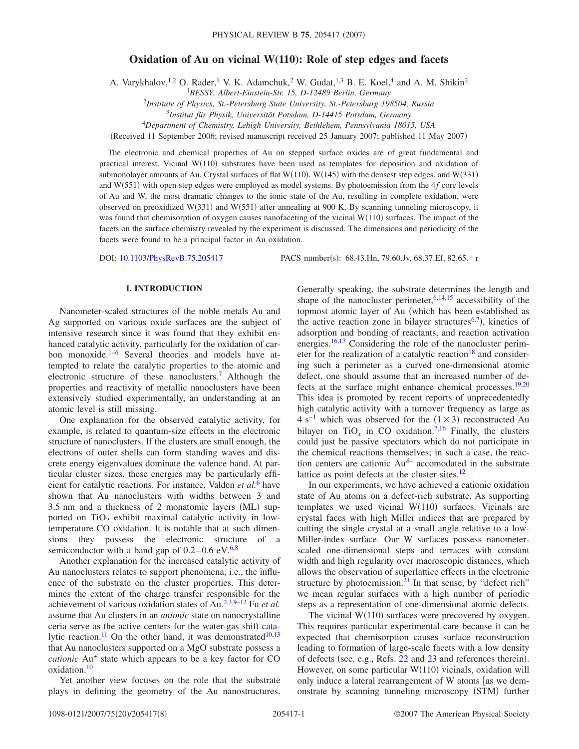# **Oxidation of Au on vicinal W(110): Role of step edges and facets**

A. Varykhalov,<sup>1,2</sup> O. Rader,<sup>1</sup> V. K. Adamchuk,<sup>2</sup> W. Gudat,<sup>1,3</sup> B. E. Koel,<sup>4</sup> and A. M. Shikin<sup>2</sup>

1 *BESSY, Albert-Einstein-Str. 15, D-12489 Berlin, Germany*

<sup>2</sup>*Institute of Physics, St.-Petersburg State University, St.-Petersburg 198504, Russia*

3 *Institut für Physik, Universität Potsdam, D-14415 Potsdam, Germany*

4 *Department of Chemistry, Lehigh University, Bethlehem, Pennsylvania 18015, USA*

(Received 11 September 2006; revised manuscript received 25 January 2007; published 11 May 2007)

The electronic and chemical properties of Au on stepped surface oxides are of great fundamental and practical interest. Vicinal W(110) substrates have been used as templates for deposition and oxidation of submonolayer amounts of Au. Crystal surfaces of flat  $W(110)$ ,  $W(145)$  with the densest step edges, and  $W(331)$ and W(551) with open step edges were employed as model systems. By photoemission from the 4*f* core levels of Au and W, the most dramatic changes to the ionic state of the Au, resulting in complete oxidation, were observed on preoxidized W(331) and W(551) after annealing at 900 K. By scanning tunneling microscopy, it was found that chemisorption of oxygen causes nanofaceting of the vicinal  $W(110)$  surfaces. The impact of the facets on the surface chemistry revealed by the experiment is discussed. The dimensions and periodicity of the facets were found to be a principal factor in Au oxidation.

DOI: [10.1103/PhysRevB.75.205417](http://dx.doi.org/10.1103/PhysRevB.75.205417)

PACS number(s): 68.43.Hn, 79.60.Jv, 68.37.Ef, 82.65.+r

## **I. INTRODUCTION**

Nanometer-scaled structures of the noble metals Au and Ag supported on various oxide surfaces are the subject of intensive research since it was found that they exhibit enhanced catalytic activity, particularly for the oxidation of carbon monoxide. $1-6$  $1-6$  Several theories and models have attempted to relate the catalytic properties to the atomic and electronic structure of these nanoclusters.<sup>7</sup> Although the properties and reactivity of metallic nanoclusters have been extensively studied experimentally, an understanding at an atomic level is still missing.

One explanation for the observed catalytic activity, for example, is related to quantum-size effects in the electronic structure of nanoclusters. If the clusters are small enough, the electrons of outer shells can form standing waves and discrete energy eigenvalues dominate the valence band. At particular cluster sizes, these energies may be particularly efficient for catalytic reactions. For instance, Valden *et al.*[6](#page-6-1) have shown that Au nanoclusters with widths between 3 and 3.5 nm and a thickness of 2 monatomic layers (ML) supported on TiO<sub>2</sub> exhibit maximal catalytic activity in lowtemperature CO oxidation. It is notable that at such dimensions they possess the electronic structure of a semiconductor with a band gap of  $0.2-0.6$  $0.2-0.6$  eV.<sup>6[,8](#page-6-3)</sup>

Another explanation for the increased catalytic activity of Au nanoclusters relates to support phenomena, i.e., the influence of the substrate on the cluster properties. This determines the extent of the charge transfer responsible for the achievement of various oxidation states of Au[.2,](#page-6-4)[3](#page-6-5)[,9–](#page-6-6)[12](#page-6-7) Fu *et al.* assume that Au clusters in an *anionic* state on nanocrystalline ceria serve as the active centers for the water-gas shift cata-lytic reaction.<sup>11</sup> On the other hand, it was demonstrated<sup>10,[13](#page-6-10)</sup> that Au nanoclusters supported on a MgO substrate possess a *cationic* Au<sup>+</sup> state which appears to be a key factor for CO oxidation[.10](#page-6-9)

Yet another view focuses on the role that the substrate plays in defining the geometry of the Au nanostructures. Generally speaking, the substrate determines the length and shape of the nanocluster perimeter,  $6,14,15$  $6,14,15$  $6,14,15$  accessibility of the topmost atomic layer of Au which has been established as the active reaction zone in bilayer structures<sup>6,[7](#page-6-2)</sup>), kinetics of adsorption and bonding of reactants, and reaction activation energies.<sup>16,[17](#page-6-14)</sup> Considering the role of the nanocluster perimeter for the realization of a catalytic reaction<sup>18</sup> and considering such a perimeter as a curved one-dimensional atomic defect, one should assume that an increased number of defects at the surface might enhance chemical processes. $19,20$  $19,20$ This idea is promoted by recent reports of unprecedentedly high catalytic activity with a turnover frequency as large as  $4 s<sup>-1</sup>$  which was observed for the  $(1 \times 3)$  reconstructed Au bilayer on TiO<sub>x</sub> in CO oxidation.<sup>7,[16](#page-6-13)</sup> Finally, the clusters could just be passive spectators which do not participate in the chemical reactions themselves; in such a case, the reaction centers are cationic  $Au^{\delta+}$  accomodated in the substrate lattice as point defects at the cluster sites.<sup>12</sup>

In our experiments, we have achieved a cationic oxidation state of Au atoms on a defect-rich substrate. As supporting templates we used vicinal  $W(110)$  surfaces. Vicinals are crystal faces with high Miller indices that are prepared by cutting the single crystal at a small angle relative to a low-Miller-index surface. Our W surfaces possess nanometerscaled one-dimensional steps and terraces with constant width and high regularity over macroscopic distances, which allows the observation of superlattice effects in the electronic structure by photoemission. $21$  In that sense, by "defect rich" we mean regular surfaces with a high number of periodic steps as a representation of one-dimensional atomic defects.

The vicinal  $W(110)$  surfaces were precovered by oxygen. This requires particular experimental care because it can be expected that chemisorption causes surface reconstruction leading to formation of large-scale facets with a low density of defects (see, e.g., Refs. [22](#page-7-3) and [23](#page-7-4) and references therein). However, on some particular W(110) vicinals, oxidation will only induce a lateral rearrangement of  $W$  atoms [as we demonstrate by scanning tunneling microscopy (STM) further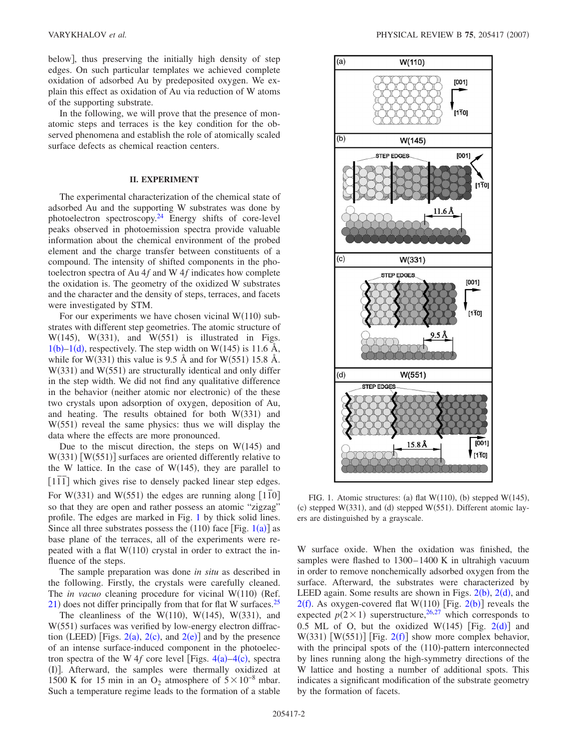below, thus preserving the initially high density of step edges. On such particular templates we achieved complete oxidation of adsorbed Au by predeposited oxygen. We explain this effect as oxidation of Au via reduction of W atoms of the supporting substrate.

In the following, we will prove that the presence of monatomic steps and terraces is the key condition for the observed phenomena and establish the role of atomically scaled surface defects as chemical reaction centers.

## **II. EXPERIMENT**

The experimental characterization of the chemical state of adsorbed Au and the supporting W substrates was done by photoelectron spectroscopy. $24$  Energy shifts of core-level peaks observed in photoemission spectra provide valuable information about the chemical environment of the probed element and the charge transfer between constituents of a compound. The intensity of shifted components in the photoelectron spectra of Au 4*f* and W 4*f* indicates how complete the oxidation is. The geometry of the oxidized W substrates and the character and the density of steps, terraces, and facets were investigated by STM.

For our experiments we have chosen vicinal  $W(110)$  substrates with different step geometries. The atomic structure of  $W(145)$ ,  $W(331)$ , and  $W(551)$  is illustrated in Figs.  $1(b)-1(d)$  $1(b)-1(d)$ , respectively. The step width on W(145) is 11.6 Å, while for W(331) this value is 9.5 Å and for W(551) 15.8 Å.  $W(331)$  and  $W(551)$  are structurally identical and only differ in the step width. We did not find any qualitative difference in the behavior (neither atomic nor electronic) of the these two crystals upon adsorption of oxygen, deposition of Au, and heating. The results obtained for both  $W(331)$  and  $W(551)$  reveal the same physics: thus we will display the data where the effects are more pronounced.

Due to the miscut direction, the steps on  $W(145)$  and  $W(331)$  [W(551)] surfaces are oriented differently relative to the W lattice. In the case of  $W(145)$ , they are parallel to  $[1\overline{1}$  which gives rise to densely packed linear step edges. For W(331) and W(551) the edges are running along  $\begin{bmatrix} 1 \overline{1}0 \end{bmatrix}$ so that they are open and rather possess an atomic "zigzag" profile. The edges are marked in Fig. [1](#page-1-0) by thick solid lines. Since all three substrates possess the  $(110)$  $(110)$  $(110)$  face [Fig.  $1(a)$ ] as base plane of the terraces, all of the experiments were repeated with a flat  $W(110)$  crystal in order to extract the influence of the steps.

The sample preparation was done *in situ* as described in the following. Firstly, the crystals were carefully cleaned. The *in vacuo* cleaning procedure for vicinal W(110) (Ref.  $21$ ) does not differ principally from that for flat W surfaces.<sup>25</sup>

The cleanliness of the W(110), W(145), W(331), and W(551) surfaces was verified by low-energy electron diffraction (LEED) [Figs.  $2(a)$  $2(a)$ ,  $2(c)$ , and  $2(e)$ ] and by the presence of an intense surface-induced component in the photoelectron spectra of the W  $4f$  $4f$  core level [Figs.  $4(a) - 4(c)$ , spectra (I)]. Afterward, the samples were thermally oxidized at 1500 K for 15 min in an O<sub>2</sub> atmosphere of  $5 \times 10^{-8}$  mbar. Such a temperature regime leads to the formation of a stable

<span id="page-1-0"></span>

FIG. 1. Atomic structures: (a) flat  $W(110)$ , (b) stepped  $W(145)$ ,  $(c)$  stepped W(331), and (d) stepped W(551). Different atomic layers are distinguished by a grayscale.

W surface oxide. When the oxidation was finished, the samples were flashed to 1300–1400 K in ultrahigh vacuum in order to remove nonchemically adsorbed oxygen from the surface. Afterward, the substrates were characterized by LEED again. Some results are shown in Figs.  $2(b)$  $2(b)$ ,  $2(d)$ , and  $2(f)$  $2(f)$ . As oxygen-covered flat W(110) [Fig. 2(b)] reveals the expected  $p(2 \times 1)$  superstructure,<sup>26,[27](#page-7-8)</sup> which corresponds to 0.5 ML of O, but the oxidized W(145) [Fig.  $2(d)$  $2(d)$ ] and W(331) [W(551)] [Fig.  $2(f)$  $2(f)$ ] show more complex behavior, with the principal spots of the (110)-pattern interconnected by lines running along the high-symmetry directions of the W lattice and hosting a number of additional spots. This indicates a significant modification of the substrate geometry by the formation of facets.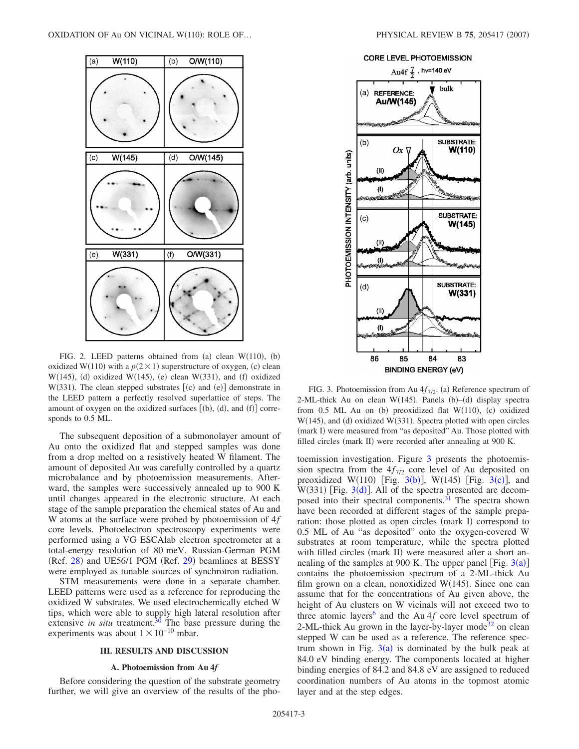<span id="page-2-0"></span>

FIG. 2. LEED patterns obtained from (a) clean  $W(110)$ , (b) oxidized W(110) with a  $p(2 \times 1)$  superstructure of oxygen, (c) clean  $W(145)$ , (d) oxidized  $W(145)$ , (e) clean  $W(331)$ , and (f) oxidized  $W(331)$ . The clean stepped substrates  $[(c)$  and  $(e)]$  demonstrate in the LEED pattern a perfectly resolved superlattice of steps. The amount of oxygen on the oxidized surfaces  $[(b), (d),$  and  $(f)]$  corresponds to 0.5 ML.

The subsequent deposition of a submonolayer amount of Au onto the oxidized flat and stepped samples was done from a drop melted on a resistively heated W filament. The amount of deposited Au was carefully controlled by a quartz microbalance and by photoemission measurements. Afterward, the samples were successively annealed up to 900 K until changes appeared in the electronic structure. At each stage of the sample preparation the chemical states of Au and W atoms at the surface were probed by photoemission of 4*f* core levels. Photoelectron spectroscopy experiments were performed using a VG ESCAlab electron spectrometer at a total-energy resolution of 80 meV. Russian-German PGM (Ref. [28](#page-7-9)) and UE56/1 PGM (Ref. [29](#page-7-10)) beamlines at BESSY were employed as tunable sources of synchrotron radiation.

STM measurements were done in a separate chamber. LEED patterns were used as a reference for reproducing the oxidized W substrates. We used electrochemically etched W tips, which were able to supply high lateral resolution after extensive *in situ* treatment.<sup>30</sup> The base pressure during the experiments was about  $1 \times 10^{-10}$  mbar.

#### **III. RESULTS AND DISCUSSION**

## **A. Photoemission from Au 4***f*

Before considering the question of the substrate geometry further, we will give an overview of the results of the pho-



<span id="page-2-1"></span>

FIG. 3. Photoemission from Au  $4f_{7/2}$ . (a) Reference spectrum of 2-ML-thick Au on clean W(145). Panels  $(b)$ - $(d)$  display spectra from 0.5 ML Au on (b) preoxidized flat W(110), (c) oxidized W(145), and (d) oxidized W(331). Spectra plotted with open circles (mark I) were measured from "as deposited" Au. Those plotted with filled circles (mark II) were recorded after annealing at 900 K.

toemission investigation. Figure [3](#page-2-1) presents the photoemission spectra from the  $4f_{7/2}$  core level of Au deposited on preoxidized W(110) [Fig.  $3(b)$  $3(b)$ ], W(145) [Fig.  $3(c)$ ], and  $W(331)$  $W(331)$  $W(331)$  [Fig.  $3(d)$ ]. All of the spectra presented are decomposed into their spectral components.<sup>31</sup> The spectra shown have been recorded at different stages of the sample preparation: those plotted as open circles (mark I) correspond to 0.5 ML of Au "as deposited" onto the oxygen-covered W substrates at room temperature, while the spectra plotted with filled circles (mark II) were measured after a short annealing of the samples at 900 K. The upper panel [Fig.  $3(a)$  $3(a)$ ] contains the photoemission spectrum of a 2-ML-thick Au film grown on a clean, nonoxidized  $W(145)$ . Since one can assume that for the concentrations of Au given above, the height of Au clusters on W vicinals will not exceed two to three atomic layers<sup>6</sup> and the Au  $4f$  core level spectrum of 2-ML-thick Au grown in the layer-by-layer mode<sup>32</sup> on clean stepped W can be used as a reference. The reference spectrum shown in Fig.  $3(a)$  $3(a)$  is dominated by the bulk peak at 84.0 eV binding energy. The components located at higher binding energies of 84.2 and 84.8 eV are assigned to reduced coordination numbers of Au atoms in the topmost atomic layer and at the step edges.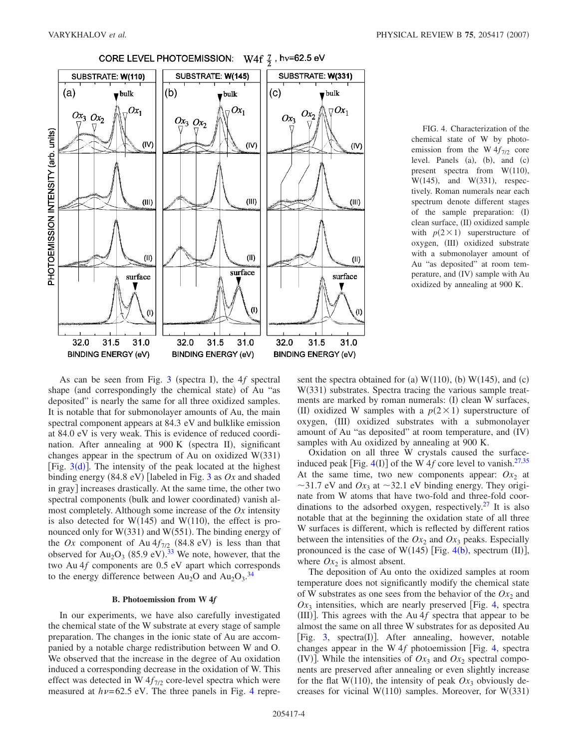<span id="page-3-0"></span>

CORE LEVEL PHOTOEMISSION: W4f  $\frac{7}{2}$ , hv=62.5 eV

FIG. 4. Characterization of the chemical state of W by photoemission from the W  $4f_{7/2}$  core level. Panels  $(a)$ ,  $(b)$ , and  $(c)$ present spectra from  $W(110)$ ,  $W(145)$ , and  $W(331)$ , respectively. Roman numerals near each spectrum denote different stages of the sample preparation: (I) clean surface, (II) oxidized sample with  $p(2 \times 1)$  superstructure of oxygen, (III) oxidized substrate with a submonolayer amount of Au "as deposited" at room temperature, and (IV) sample with Au oxidized by annealing at 900 K.

As can be seen from Fig. [3](#page-2-1) (spectra I), the 4f spectral shape (and correspondingly the chemical state) of Au "as deposited" is nearly the same for all three oxidized samples. It is notable that for submonolayer amounts of Au, the main spectral component appears at 84.3 eV and bulklike emission at 84.0 eV is very weak. This is evidence of reduced coordination. After annealing at 900 K (spectra II), significant changes appear in the spectrum of Au on oxidized  $W(331)$ [Fig.  $3(d)$  $3(d)$ ]. The intensity of the peak located at the highest binding energy (84.8 eV) [labeled in Fig. [3](#page-2-1) as *Ox* and shaded in gray] increases drastically. At the same time, the other two spectral components (bulk and lower coordinated) vanish almost completely. Although some increase of the *Ox* intensity is also detected for  $W(145)$  and  $W(110)$ , the effect is pronounced only for  $W(331)$  and  $W(551)$ . The binding energy of the *Ox* component of Au  $4f_{7/2}$  (84.8 eV) is less than that observed for  $Au_2O_3$  (85.9 eV).<sup>[33](#page-7-14)</sup> We note, however, that the two Au 4*f* components are 0.5 eV apart which corresponds to the energy difference between  $Au_2O$  and  $Au_2O_3$ .<sup>[34](#page-7-15)</sup>

## **B. Photoemission from W 4***f*

In our experiments, we have also carefully investigated the chemical state of the W substrate at every stage of sample preparation. The changes in the ionic state of Au are accompanied by a notable charge redistribution between W and O. We observed that the increase in the degree of Au oxidation induced a corresponding decrease in the oxidation of W. This effect was detected in W  $4f_{7/2}$  core-level spectra which were measured at  $h\nu$ = 62.5 eV. The three panels in Fig. [4](#page-3-0) repre-

sent the spectra obtained for (a)  $W(110)$ , (b)  $W(145)$ , and (c) W(331) substrates. Spectra tracing the various sample treatments are marked by roman numerals: (I) clean W surfaces, (II) oxidized W samples with a  $p(2 \times 1)$  superstructure of oxygen, (III) oxidized substrates with a submonolayer amount of Au "as deposited" at room temperature, and (IV) samples with Au oxidized by annealing at 900 K.

Oxidation on all three W crystals caused the surfaceinduced peak [Fig.  $4(I)$  $4(I)$ ] of the W 4*f* core level to vanish.<sup>27[,35](#page-7-16)</sup> At the same time, two new components appear:  $Ox_2$  at  $\sim$ 31.7 eV and  $Ox_3$  at  $\sim$ 32.1 eV binding energy. They originate from W atoms that have two-fold and three-fold coordinations to the adsorbed oxygen, respectively.<sup>27</sup> It is also notable that at the beginning the oxidation state of all three W surfaces is different, which is reflected by different ratios between the intensities of the  $Ox_2$  and  $Ox_3$  peaks. Especially pronounced is the case of W(1[4](#page-3-0)5) [Fig.  $4(b)$ , spectrum (II)], where  $Ox_2$  is almost absent.

The deposition of Au onto the oxidized samples at room temperature does not significantly modify the chemical state of W substrates as one sees from the behavior of the  $Ox<sub>2</sub>$  and  $Ox_3$  intensities, which are nearly preserved [Fig. [4,](#page-3-0) spectral (III)]. This agrees with the Au  $4f$  spectra that appear to be almost the same on all three W substrates for as deposited Au [Fig. [3,](#page-2-1) spectra(I)]. After annealing, however, notable changes appear in the W 4f photoemission [Fig. [4,](#page-3-0) spectral (IV)]. While the intensities of  $Ox_3$  and  $Ox_2$  spectral components are preserved after annealing or even slightly increase for the flat W(110), the intensity of peak  $Ox_3$  obviously decreases for vicinal  $W(110)$  samples. Moreover, for  $W(331)$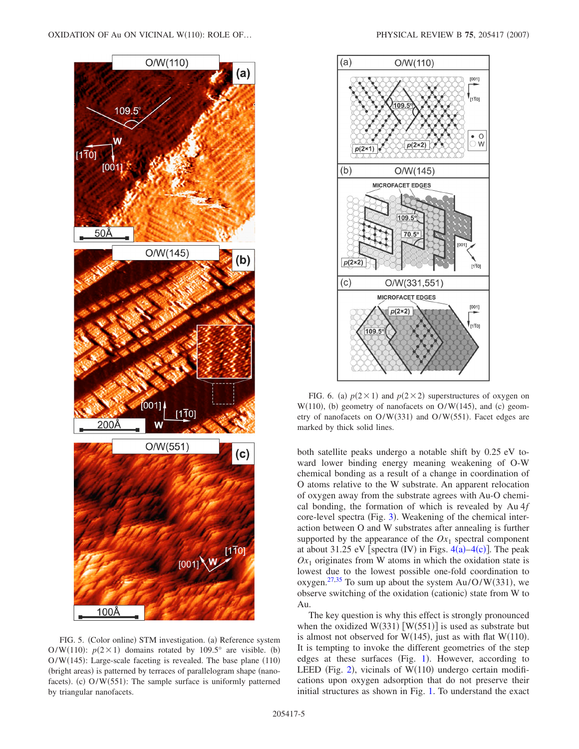<span id="page-4-0"></span>

FIG. 5. (Color online) STM investigation. (a) Reference system O/W(110):  $p(2 \times 1)$  domains rotated by 109.5° are visible. (b)  $O/W(145)$ : Large-scale faceting is revealed. The base plane (110) (bright areas) is patterned by terraces of parallelogram shape (nanofacets). (c) O/W(551): The sample surface is uniformly patterned by triangular nanofacets.

<span id="page-4-1"></span>

FIG. 6. (a)  $p(2 \times 1)$  and  $p(2 \times 2)$  superstructures of oxygen on  $W(110)$ , (b) geometry of nanofacets on  $O/W(145)$ , and (c) geometry of nanofacets on  $O/W(331)$  and  $O/W(551)$ . Facet edges are marked by thick solid lines.

both satellite peaks undergo a notable shift by 0.25 eV toward lower binding energy meaning weakening of O-W chemical bonding as a result of a change in coordination of O atoms relative to the W substrate. An apparent relocation of oxygen away from the substrate agrees with Au-O chemical bonding, the formation of which is revealed by Au 4*f* core-level spectra (Fig. [3](#page-2-1)). Weakening of the chemical interaction between O and W substrates after annealing is further supported by the appearance of the  $Ox_1$  spectral component at about 31.25 eV [spectra (IV) in Figs.  $4(a) - 4(c)$  $4(a) - 4(c)$ ]. The peak  $Ox_1$  originates from W atoms in which the oxidation state is lowest due to the lowest possible one-fold coordination to oxygen.<sup>27[,35](#page-7-16)</sup> To sum up about the system  $Au/O/W(331)$ , we observe switching of the oxidation (cationic) state from W to Au.

The key question is why this effect is strongly pronounced when the oxidized  $W(331)$  [W(551)] is used as substrate but is almost not observed for W(145), just as with flat W(110). It is tempting to invoke the different geometries of the step edges at these surfaces (Fig. [1](#page-1-0)). However, according to LEED (Fig. [2](#page-2-0)), vicinals of  $W(110)$  undergo certain modifications upon oxygen adsorption that do not preserve their initial structures as shown in Fig. [1.](#page-1-0) To understand the exact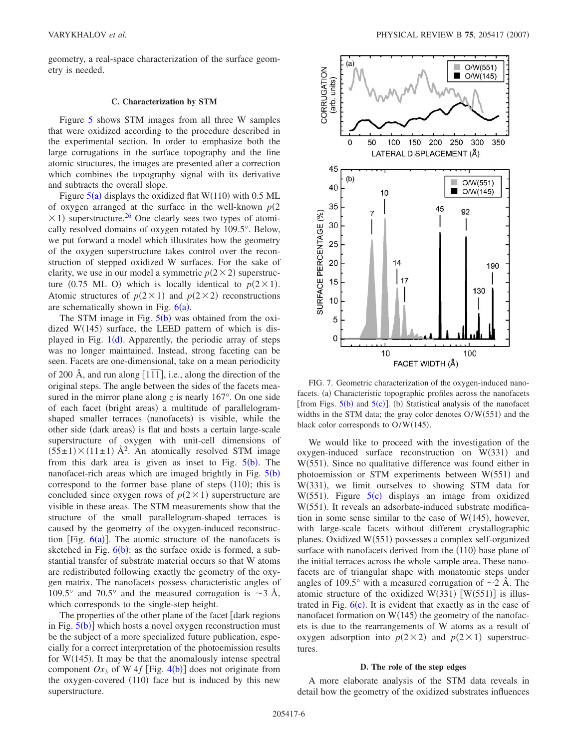geometry, a real-space characterization of the surface geometry is needed.

#### **C. Characterization by STM**

Figure [5](#page-4-0) shows STM images from all three W samples that were oxidized according to the procedure described in the experimental section. In order to emphasize both the large corrugations in the surface topography and the fine atomic structures, the images are presented after a correction which combines the topography signal with its derivative and subtracts the overall slope.

Figure  $5(a)$  $5(a)$  displays the oxidized flat W(110) with 0.5 ML of oxygen arranged at the surface in the well-known  $p(2)$  $\times$  1) superstructure.<sup>26</sup> One clearly sees two types of atomically resolved domains of oxygen rotated by 109.5°. Below, we put forward a model which illustrates how the geometry of the oxygen superstructure takes control over the reconstruction of stepped oxidized W surfaces. For the sake of clarity, we use in our model a symmetric  $p(2 \times 2)$  superstructure (0.75 ML O) which is locally identical to  $p(2 \times 1)$ . Atomic structures of  $p(2 \times 1)$  and  $p(2 \times 2)$  reconstructions are schematically shown in Fig.  $6(a)$  $6(a)$ .

The STM image in Fig.  $5(b)$  $5(b)$  was obtained from the oxidized  $W(145)$  surface, the LEED pattern of which is dis-played in Fig. [1](#page-1-0)(d). Apparently, the periodic array of steps was no longer maintained. Instead, strong faceting can be seen. Facets are one-dimensional, take on a mean periodicity of 200 Å, and run along  $[1\overline{1} \overline{1}]$ , i.e., along the direction of the original steps. The angle between the sides of the facets measured in the mirror plane along  $\zeta$  is nearly 167 $\degree$ . On one side of each facet (bright areas) a multitude of parallelogramshaped smaller terraces (nanofacets) is visible, while the other side (dark areas) is flat and hosts a certain large-scale superstructure of oxygen with unit-cell dimensions of  $(55\pm1) \times (11\pm1)$  Å<sup>2</sup>. An atomically resolved STM image from this dark area is given as inset to Fig.  $5(b)$  $5(b)$ . The nanofacet-rich areas which are imaged brightly in Fig.  $5(b)$  $5(b)$ correspond to the former base plane of steps  $(110)$ ; this is concluded since oxygen rows of  $p(2 \times 1)$  superstructure are visible in these areas. The STM measurements show that the structure of the small parallelogram-shaped terraces is caused by the geometry of the oxygen-induced reconstruction [Fig.  $6(a)$  $6(a)$ ]. The atomic structure of the nanofacets is sketched in Fig.  $6(b)$  $6(b)$  $6(b)$ : as the surface oxide is formed, a substantial transfer of substrate material occurs so that W atoms are redistributed following exactly the geometry of the oxygen matrix. The nanofacets possess characteristic angles of 109.5° and 70.5° and the measured corrugation is  $\sim$ 3 Å, which corresponds to the single-step height.

The properties of the other plane of the facet  $\lceil \text{dark regions} \rceil$ in Fig.  $5(b)$  $5(b)$ ] which hosts a novel oxygen reconstruction must be the subject of a more specialized future publication, especially for a correct interpretation of the photoemission results for  $W(145)$ . It may be that the anomalously intense spectral component  $Ox_3$  of W [4](#page-3-0) $f$  [Fig. 4(b)] does not originate from the oxygen-covered (110) face but is induced by this new superstructure.

<span id="page-5-0"></span>

FIG. 7. Geometric characterization of the oxygen-induced nanofacets. (a) Characteristic topographic profiles across the nanofacets [from Figs.  $5(b)$  $5(b)$  and  $5(c)$ ]. (b) Statistical analysis of the nanofacet widths in the STM data; the gray color denotes  $O/W(551)$  and the black color corresponds to  $O/W(145)$ .

We would like to proceed with the investigation of the  $oxygen-induced surface reconstruction on W(331) and$ W(551). Since no qualitative difference was found either in photoemission or STM experiments between  $W(551)$  and W(331), we limit ourselves to showing STM data for W([5](#page-4-0)51). Figure  $5(c)$  displays an image from oxidized W(551). It reveals an adsorbate-induced substrate modification in some sense similar to the case of  $W(145)$ , however, with large-scale facets without different crystallographic planes. Oxidized W(551) possesses a complex self-organized surface with nanofacets derived from the (110) base plane of the initial terraces across the whole sample area. These nanofacets are of triangular shape with monatomic steps under angles of 109.5° with a measured corrugation of  $\sim$ 2 Å. The atomic structure of the oxidized W(331) [W(551)] is illustrated in Fig.  $6(c)$  $6(c)$ . It is evident that exactly as in the case of nanofacet formation on  $W(145)$  the geometry of the nanofacets is due to the rearrangements of W atoms as a result of oxygen adsorption into  $p(2 \times 2)$  and  $p(2 \times 1)$  superstructures.

#### **D. The role of the step edges**

A more elaborate analysis of the STM data reveals in detail how the geometry of the oxidized substrates influences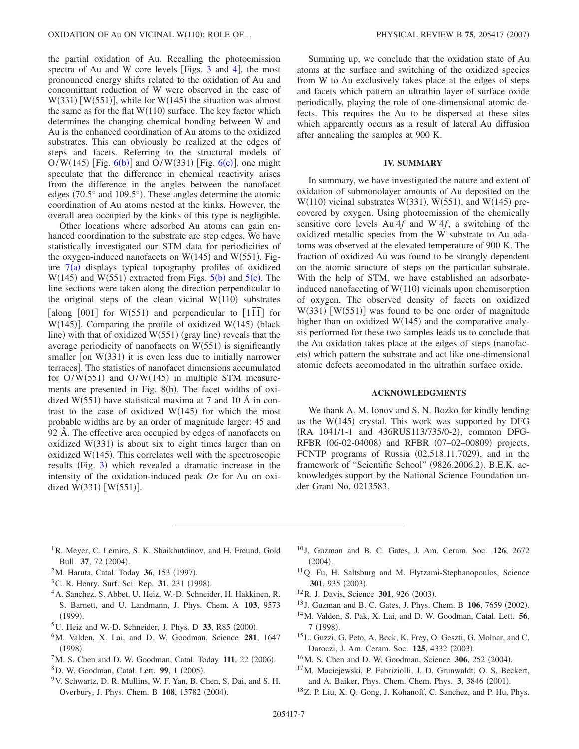the partial oxidation of Au. Recalling the photoemission spectra of Au and W core levels [Figs.  $3$  and [4](#page-3-0)], the most pronounced energy shifts related to the oxidation of Au and concomittant reduction of W were observed in the case of  $W(331)$  [W(551)], while for W(145) the situation was almost the same as for the flat  $W(110)$  surface. The key factor which determines the changing chemical bonding between W and Au is the enhanced coordination of Au atoms to the oxidized substrates. This can obviously be realized at the edges of steps and facets. Referring to the structural models of  $O/W(145)$  [Fig.  $6(b)$  $6(b)$ ] and  $O/W(331)$  [Fig.  $6(c)$ ], one might speculate that the difference in chemical reactivity arises from the difference in the angles between the nanofacet edges (70.5° and 109.5°). These angles determine the atomic coordination of Au atoms nested at the kinks. However, the overall area occupied by the kinks of this type is negligible.

Other locations where adsorbed Au atoms can gain enhanced coordination to the substrate are step edges. We have statistically investigated our STM data for periodicities of the oxygen-induced nanofacets on  $W(145)$  and  $W(551)$ . Figure  $7(a)$  $7(a)$  displays typical topography profiles of oxidized  $W(145)$  $W(145)$  $W(145)$  and  $W(551)$  extracted from Figs.  $5(b)$  and  $5(c)$ . The line sections were taken along the direction perpendicular to the original steps of the clean vicinal  $W(110)$  substrates  $\frac{d}{dt}$  and  $\frac{d}{dt}$  for  $W(551)$  and perpendicular to  $\left[11\overline{1}\right]$  for  $W(145)$ ]. Comparing the profile of oxidized  $W(145)$  (black line) with that of oxidized W(551) (gray line) reveals that the average periodicity of nanofacets on  $W(551)$  is significantly smaller [on W(331) it is even less due to initially narrower terraces]. The statistics of nanofacet dimensions accumulated for  $O/W(551)$  and  $O/W(145)$  in multiple STM measurements are presented in Fig. 8(b). The facet widths of oxidized  $W(551)$  have statistical maxima at 7 and 10 Å in contrast to the case of oxidized  $W(145)$  for which the most probable widths are by an order of magnitude larger: 45 and 92 Å. The effective area occupied by edges of nanofacets on oxidized  $W(331)$  is about six to eight times larger than on oxidized  $W(145)$ . This correlates well with the spectroscopic results (Fig. [3](#page-2-1)) which revealed a dramatic increase in the intensity of the oxidation-induced peak *Ox* for Au on oxidized  $W(331)$  [W(551)].

Summing up, we conclude that the oxidation state of Au atoms at the surface and switching of the oxidized species from W to Au exclusively takes place at the edges of steps and facets which pattern an ultrathin layer of surface oxide periodically, playing the role of one-dimensional atomic defects. This requires the Au to be dispersed at these sites which apparently occurs as a result of lateral Au diffusion after annealing the samples at 900 K.

## **IV. SUMMARY**

In summary, we have investigated the nature and extent of oxidation of submonolayer amounts of Au deposited on the  $W(110)$  vicinal substrates  $W(331)$ ,  $W(551)$ , and  $W(145)$  precovered by oxygen. Using photoemission of the chemically sensitive core levels Au 4*f* and W 4*f*, a switching of the oxidized metallic species from the W substrate to Au adatoms was observed at the elevated temperature of 900 K. The fraction of oxidized Au was found to be strongly dependent on the atomic structure of steps on the particular substrate. With the help of STM, we have established an adsorbateinduced nanofaceting of  $W(110)$  vicinals upon chemisorption of oxygen. The observed density of facets on oxidized  $W(331)$  [W(551)] was found to be one order of magnitude higher than on oxidized  $W(145)$  and the comparative analysis performed for these two samples leads us to conclude that the Au oxidation takes place at the edges of steps (nanofacets) which pattern the substrate and act like one-dimensional atomic defects accomodated in the ultrathin surface oxide.

#### **ACKNOWLEDGMENTS**

We thank A. M. Ionov and S. N. Bozko for kindly lending us the W(145) crystal. This work was supported by DFG (RA 1041/1-1 and 436RUS113/735/0-2), common DFG-RFBR (06-02-04008) and RFBR (07-02-00809) projects, FCNTP programs of Russia (02.518.11.7029), and in the framework of "Scientific School" (9826.2006.2). B.E.K. acknowledges support by the National Science Foundation under Grant No. 0213583.

- <span id="page-6-0"></span><sup>1</sup>R. Meyer, C. Lemire, S. K. Shaikhutdinov, and H. Freund, Gold Bull. 37, 72 (2004).
- <span id="page-6-4"></span><sup>2</sup>M. Haruta, Catal. Today **36**, 153 (1997).
- <span id="page-6-5"></span><sup>3</sup>C. R. Henry, Surf. Sci. Rep. 31, 231 (1998).
- 4A. Sanchez, S. Abbet, U. Heiz, W.-D. Schneider, H. Hakkinen, R. S. Barnett, and U. Landmann, J. Phys. Chem. A **103**, 9573  $(1999).$
- $5$ U. Heiz and W.-D. Schneider, J. Phys. D  $33$ , R85 (2000).
- <span id="page-6-1"></span>6M. Valden, X. Lai, and D. W. Goodman, Science **281**, 1647  $(1998).$
- <span id="page-6-2"></span> $7$ M. S. Chen and D. W. Goodman, Catal. Today 111, 22 (2006).
- <span id="page-6-3"></span><sup>8</sup>D. W. Goodman, Catal. Lett. 99, 1 (2005).
- <span id="page-6-6"></span>9V. Schwartz, D. R. Mullins, W. F. Yan, B. Chen, S. Dai, and S. H. Overbury, J. Phys. Chem. B 108, 15782 (2004).
- <span id="page-6-9"></span><sup>10</sup> J. Guzman and B. C. Gates, J. Am. Ceram. Soc. **126**, 2672  $(2004).$
- <span id="page-6-8"></span>11Q. Fu, H. Saltsburg and M. Flytzami-Stephanopoulos, Science 301, 935 (2003).
- <span id="page-6-7"></span><sup>12</sup>R. J. Davis, Science 301, 926 (2003).
- <span id="page-6-10"></span><sup>13</sup> J. Guzman and B. C. Gates, J. Phys. Chem. B **106**, 7659 (2002).
- <span id="page-6-11"></span>14M. Valden, S. Pak, X. Lai, and D. W. Goodman, Catal. Lett. **56**, 7 (1998).
- <span id="page-6-12"></span>15L. Guzzi, G. Peto, A. Beck, K. Frey, O. Geszti, G. Molnar, and C. Daroczi, J. Am. Ceram. Soc. 125, 4332 (2003).
- <span id="page-6-13"></span><sup>16</sup>M. S. Chen and D. W. Goodman, Science **306**, 252 (2004).
- <span id="page-6-14"></span>17M. Maciejewski, P. Fabriziolli, J. D. Grunwaldt, O. S. Beckert, and A. Baiker, Phys. Chem. Chem. Phys. 3, 3846 (2001).
- <span id="page-6-15"></span>18Z. P. Liu, X. Q. Gong, J. Kohanoff, C. Sanchez, and P. Hu, Phys.